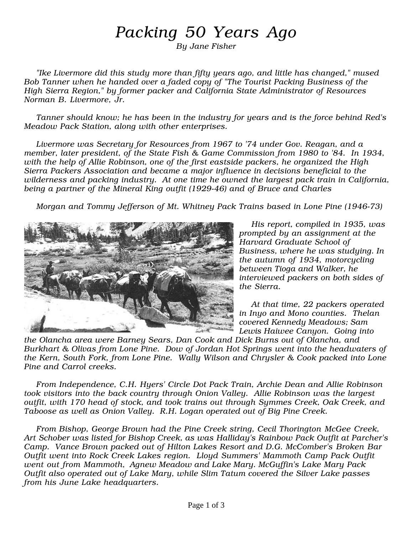## Packing 50 Years Ago

By Jane Fisher

"Ike Livermore did this study more than fifty years ago, and little has changed," mused Bob Tanner when he handed over a faded copy of "The Tourist Packing Business of the High Sierra Region," by former packer and California State Administrator of Resources Norman B. Livermore, Jr.

Tanner should know; he has been in the industry for years and is the force behind Red's Meadow Pack Station, along with other enterprises.

Livermore was Secretary for Resources from 1967 to '74 under Gov. Reagan, and a member, later president, of the State Fish & Game Commission from 1980 to '84. In 1934, with the help of Allie Robinson, one of the first eastside packers, he organized the High Sierra Packers Association and became a major influence in decisions beneficial to the wilderness and packing industry. At one time he owned the largest pack train in California, being a partner of the Mineral King outfit (1929-46) and of Bruce and Charles

Morgan and Tommy Jefferson of Mt. Whitney Pack Trains based in Lone Pine (1946-73)



His report, compiled in 1935, was prompted by an assignment at the Harvard Graduate School of Business, where he was studying. In the autumn of 1934, motorcycling between Tioga and Walker, he interviewed packers on both sides of the Sierra.

At that time, 22 packers operated in Inyo and Mono counties. Thelan covered Kennedy Meadows; Sam Lewis Haiwee Canyon. Going into

the Olancha area were Barney Sears, Dan Cook and Dick Burns out of Olancha, and Burkhart & Olivas from Lone Pine. Dow of Jordan Hot Springs went into the headwaters of the Kern, South Fork, from Lone Pine. Wally Wilson and Chrysler & Cook packed into Lone Pine and Carrol creeks.

From Independence, C.H. Hyers' Circle Dot Pack Train, Archie Dean and Allie Robinson took visitors into the back country through Onion Valley. Allie Robinson was the largest outfit, with 170 head of stock, and took trains out through Symmes Creek, Oak Creek, and Taboose as well as Onion Valley. R.H. Logan operated out of Big Pine Creek.

From Bishop, George Brown had the Pine Creek string, Cecil Thorington McGee Creek, Art Schober was listed for Bishop Creek, as was Halliday's Rainbow Pack Outfit at Parcher's Camp. Vance Brown packed out of Hilton Lakes Resort and D.G. McComber's Broken Bar Outfit went into Rock Creek Lakes region. Lloyd Summers' Mammoth Camp Pack Outfit went out from Mammoth, Agnew Meadow and Lake Mary. McGuffin's Lake Mary Pack Outfit also operated out of Lake Mary, while Slim Tatum covered the Silver Lake passes from his June Lake headquarters.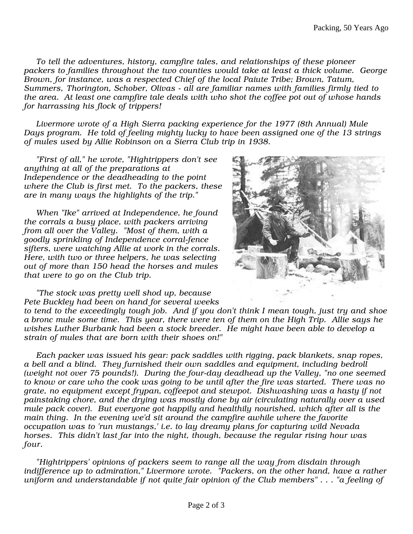To tell the adventures, history, campfire tales, and relationships of these pioneer packers to families throughout the two counties would take at least a thick volume. George Brown, for instance, was a respected Chief of the local Paiute Tribe; Brown, Tatum, Summers, Thorington, Schober, Olivas - all are familiar names with families firmly tied to the area. At least one campfire tale deals with who shot the coffee pot out of whose hands for harrassing his flock of trippers!

Livermore wrote of a High Sierra packing experience for the 1977 (8th Annual) Mule Days program. He told of feeling mighty lucky to have been assigned one of the 13 strings of mules used by Allie Robinson on a Sierra Club trip in 1938.

"First of all," he wrote, "Hightrippers don't see anything at all of the preparations at Independence or the deadheading to the point where the Club is first met. To the packers, these are in many ways the highlights of the trip."

When "Ike" arrived at Independence, he found the corrals a busy place, with packers arriving from all over the Valley. "Most of them, with a goodly sprinkling of Independence corral-fence sifters, were watching Allie at work in the corrals. Here, with two or three helpers, he was selecting out of more than 150 head the horses and mules that were to go on the Club trip.



"The stock was pretty well shod up, because Pete Buckley had been on hand for several weeks

to tend to the exceedingly tough job. And if you don't think I mean tough, just try and shoe a bronc mule some time. This year, there were ten of them on the High Trip. Allie says he wishes Luther Burbank had been a stock breeder. He might have been able to develop a strain of mules that are born with their shoes on!"

Each packer was issued his gear: pack saddles with rigging, pack blankets, snap ropes, a bell and a blind. They furnished their own saddles and equipment, including bedroll (weight not over 75 pounds!). During the four-day deadhead up the Valley, "no one seemed to know or care who the cook was going to be until after the fire was started. There was no grate, no equipment except frypan, coffeepot and stewpot. Dishwashing was a hasty if not painstaking chore, and the drying was mostly done by air (circulating naturally over a used mule pack cover). But everyone got happily and healthily nourished, which after all is the main thing. In the evening we'd sit around the campfire awhile where the favorite occupation was to 'run mustangs,' i.e. to lay dreamy plans for capturing wild Nevada horses. This didn't last far into the night, though, because the regular rising hour was four.

"Hightrippers' opinions of packers seem to range all the way from disdain through indifference up to admiration," Livermore wrote. "Packers, on the other hand, have a rather uniform and understandable if not quite fair opinion of the Club members" . . . "a feeling of